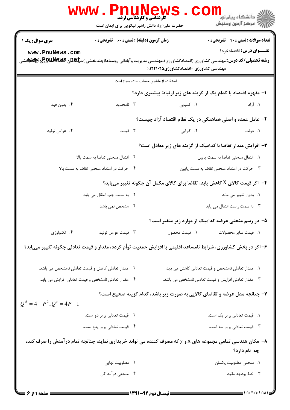|                                                                                                                | <b>www.PnuNew</b><br><b>کارشناسی و کارشناسی ارشد</b><br>حضرت علی(ع): دانش راهبر نیکویی برای ایمان است                                                |                                                                                                                | د دانشگاه پيام نو <mark>ر</mark><br>رآ - مرڪز آزمون وسنڊش |
|----------------------------------------------------------------------------------------------------------------|------------------------------------------------------------------------------------------------------------------------------------------------------|----------------------------------------------------------------------------------------------------------------|-----------------------------------------------------------|
| <b>سری سوال :</b> یک ۱                                                                                         | <b>زمان آزمون (دقیقه) : تستی : 60 ٪ تشریحی : 0</b>                                                                                                   |                                                                                                                | <b>تعداد سوالات : تستی : 40 قشریحی : 0</b>                |
| www.PnuNews.com                                                                                                |                                                                                                                                                      |                                                                                                                | <b>عنـــوان درس:</b> اقتصادخرد۱                           |
|                                                                                                                | <b>رشته تحصیلی/کد درس:</b> مهندسی کشاورزی (اقتصادکشاورزی)،مهندسی مدیریت وآبادانی روستاها(چندبخشی )،م <b>پگیلی BBیکاپلاتور</b> گی <b>اپکلاتابت</b> شی | مهندسی کشاورزی -اقتصادکشاورزی۲۱۰۲۵/۵/۱۰۲۸                                                                      |                                                           |
|                                                                                                                | استفاده از ماشین حساب ساده مجاز است                                                                                                                  |                                                                                                                |                                                           |
|                                                                                                                |                                                                                                                                                      | ۱– مفهوم اقتصاد با کدام یک از گزینه های زیر ارتباط بیشتری دارد؟                                                |                                                           |
| ۴. بدون قيد                                                                                                    | ۰۳ نامحدود                                                                                                                                           | ٢. كميابي                                                                                                      | ۱. آزاد                                                   |
|                                                                                                                |                                                                                                                                                      | ۲- عامل عمده و اصلی هماهنگی در یک نظام اقتصاد آزاد چیست؟                                                       |                                                           |
| ۰۴ عوامل توليد                                                                                                 | ۰۳ قیمت                                                                                                                                              | ۰۲ کارایی                                                                                                      | ۰۱ دولت                                                   |
|                                                                                                                |                                                                                                                                                      | ۳- افزایش مقدار تقاضا با کدامیک از گزینه های زیر معادل است؟                                                    |                                                           |
|                                                                                                                | ٠٢ انتقال منحنى تقاضا به سمت بالا                                                                                                                    |                                                                                                                | ٠١. انتقال منحنى تقاضا به سمت پايين                       |
|                                                                                                                | ۴. حرکت در امتداد منحنی تقاضا به سمت بالا<br>۰۳ حرکت در امتداد منحنی تقاضا به سمت پایین                                                              |                                                                                                                |                                                           |
|                                                                                                                |                                                                                                                                                      | والله علي الله عنه الله عنه الله عنه الله عنه الله عنه عنه عليه الله عن الله عنه الله عنه الله عنه الله عن الل |                                                           |
|                                                                                                                | ٢. به سمت چپ انتقال می یابد                                                                                                                          |                                                                                                                | ۰۱ بدون تغییر می ماند                                     |
|                                                                                                                | ۴ . مشخص نمی باشد                                                                                                                                    |                                                                                                                | ۰۳ به سمت راست انتقال می یابد                             |
|                                                                                                                |                                                                                                                                                      | ۵– در رسم منحنی عرضه کدامیک از موارد زیر متغیر است؟                                                            |                                                           |
| ۴. تکنولوژی                                                                                                    | ۰۳ قیمت عوامل تولید                                                                                                                                  | ٢. قيمت محصول                                                                                                  | 1. قيمت ساير محصولات                                      |
| ۶– اگر در بخش کشاورزی، شرایط نامساعد اقلیمی با افزایش جمعیت توأم گردد، مقدار و قیمت تعادلی چگونه تغییر مییابد؟ |                                                                                                                                                      |                                                                                                                |                                                           |
|                                                                                                                | ۰۲ مقدار تعادلی کاهش و قیمت تعادلی نامشخص می باشد.                                                                                                   | 1. مقدار تعادلی نامشخص و قیمت تعادلی کاهش می یابد.                                                             |                                                           |
|                                                                                                                | ۰۴ مقدار تعادلی نامشخص و قیمت تعادلی افزایش می یابد.                                                                                                 | ۰۳ مقدار تعادلی افزایش و قیمت تعادلی نامشخص می باشد.                                                           |                                                           |
| $Q^d = 4 - P^2$ , $Q^s = 4P - 1$                                                                               |                                                                                                                                                      | ۷– چنانچه مدل عرضه و تقاضای کالایی به صورت زیر باشد، کدام گزینه صحیح است؟                                      |                                                           |
|                                                                                                                | ۲. قیمت تعادلی برابر دو است.                                                                                                                         |                                                                                                                | ٠١. قیمت تعادلی برابر یک است.                             |
|                                                                                                                | ۴. قیمت تعادلی برابر پنج است.                                                                                                                        |                                                                                                                | ۰۳ قیمت تعادلی برابر سه است.                              |
|                                                                                                                | ۸− مکان هندسی تمامی مجموعه های x و y که مصرف کننده می تواند خریداری نماید، چنانچه تمام درآمدش را صرف کند،                                            |                                                                                                                |                                                           |
|                                                                                                                |                                                                                                                                                      |                                                                                                                | چه نام دارد؟                                              |
|                                                                                                                | ۰۲ مطلوبیت نهایی                                                                                                                                     |                                                                                                                | 1. منحنى مطلوبيت يكسان                                    |
|                                                                                                                | ۴. منحنی درآمد کل<br>$-$ (was avec the $\frac{1}{2}$                                                                                                 |                                                                                                                | ۰۳ خط بودجه مقید<br>$-3.3.13.3.3.3.4$                     |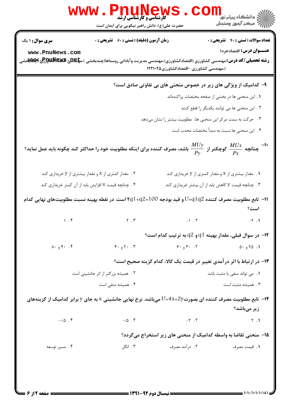| w w w                                               | حضرت علی(ع): دانش راهبر نیکویی برای ایمان است       |                                        | ڪ دانشڪاه پيا <sub>م</sub> نور<br>ا∛ مرڪز آزمون وسنجش                                                                                                                  |
|-----------------------------------------------------|-----------------------------------------------------|----------------------------------------|------------------------------------------------------------------------------------------------------------------------------------------------------------------------|
| <b>سری سوال : ۱ یک</b>                              | <b>زمان آزمون (دقیقه) : تستی : 60 ٪ تشریحی : 0</b>  |                                        | <b>تعداد سوالات : تستي : 40 - تشريحي : 0</b>                                                                                                                           |
| www.PnuNews.com                                     |                                                     | )،مهندسی کشاورزی -اقتصادکشاورزی1۲۲۱۰۲۵ | عنــوان درس: اقتصادخرد۱<br><b>رشته تحصیلی/کد درس:</b> مهندسی کشاورزی (اقتصادکشاورزی)،مهندسی مدیریت وآبادانی روستاها(چندبخشی )،م <b>پگیلی Rپولگالولوپر Aپژلاتابت</b> شی |
|                                                     |                                                     |                                        | ۹- کدامیک از ویژگی های زیر در خصوص منحنی های بی تفاوتی صادق است؟                                                                                                       |
|                                                     |                                                     |                                        | ١. این منحنی ها در بخشی از صفحه مختصات پراکندهاند                                                                                                                      |
|                                                     |                                                     |                                        | ۰۲ این منحنی ها می توانند یکدیگر را قطع کنند                                                                                                                           |
|                                                     |                                                     |                                        | ۰۳ حرکت به سمت مرکز این منحنی ها، مطلوبیت بیشتر را نشان میدهد                                                                                                          |
|                                                     |                                                     |                                        | ۴ . این منحنی ها نسبت به مبدأ مختصات محدب است                                                                                                                          |
|                                                     |                                                     |                                        | ا -۱۰ - چنانچه $\frac{M U x}{P x}$ کوچکتر از $\frac{M U y}{P y}$ باشد، مصرف کننده برای اینکه مطلوبیت خود را حداکثر کند چگونه باید عمل نماید $^{1}$                     |
|                                                     | ۰۲ مقدار کمتری از x و مقدار بیشتری از y خریداری کند |                                        | ۰۱ مقدار بیشتری از x و مقدار کمتری از y خریداری کند                                                                                                                    |
| ۰۴ چنانچه قیمت x افزایش یابد از آن کمتر خریداری کند |                                                     |                                        | ۰۳ چنانچه قیمت y کاهش یابد از آن بیشتر خریداری کند                                                                                                                     |
|                                                     |                                                     |                                        | ا1− تابع مطلوبیت مصرف کننده U=q1q2 و قید بودجه 100=14q2 است. در نقطه بهینه نسبت مطلوبیتهای نهایی کدام<br>است؟                                                          |
|                                                     | $\gamma$ . F $\gamma$ . T $\gamma$ . T              |                                        | $-7.1$                                                                                                                                                                 |
|                                                     |                                                     |                                        | $\cdot$ ۱۲ - در سوال قبلی، مقدار بهینه $q1$ و $q2$ به ترتیب کدام است $\cdot$                                                                                           |
| $\lambda \cdot 94 \cdot 15$                         | $F \cdot 9V \cdot 1V$                               | 9.97.7                                 | 0.970.1                                                                                                                                                                |
|                                                     |                                                     |                                        | ۱۳- در ارتباط با اثر درآمدی تغییر در قیمت یک کالا، کدام گزینه صحیح است؟                                                                                                |
|                                                     | ٢. همیشه بزرگتر از اثر جانشینی است                  |                                        | ۰۱ می تواند منفی یا مثبت باشد                                                                                                                                          |
|                                                     | ۰۴ همیشه منفی است                                   |                                        | ۰۳ همیشه مثبت است                                                                                                                                                      |
|                                                     |                                                     |                                        | ا— تابع مطلوبیت مصرف کننده ای بصورت $1\times 4$ + $U$ = $U$ میباشد. نرخ نهایی جانشینی x به جای y برابر کدامیک از گزینههای $\bullet$<br>زیر میباشد؟                     |
| $-10$ . ۴                                           | $\cdot/\Delta$ . $\Upsilon$                         | $-\tau$ . $\tau$                       | Y.1                                                                                                                                                                    |
|                                                     |                                                     |                                        | ۱۵- منحنی تقاضا به واسطه کدامیک از منحنی های زیر استخراج میگردد؟                                                                                                       |
| ۰۴ مسیر توسعه                                       | ۰۳ انگل                                             | ۰۲ درآمد مصرف                          | ٠١. قيمت مصرف                                                                                                                                                          |
|                                                     |                                                     |                                        | 1.1.11.1.1.1A1                                                                                                                                                         |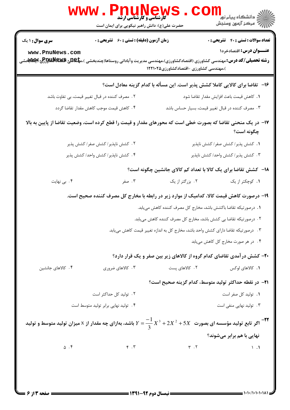| WWW . PI<br><b>کارشناسی و کارشناسی ارشد</b><br>حضرت علی(ع): دانش راهبر نیکویی برای ایمان است                                                                                                                                                | ڪ دانشڪاه پيام نور ■<br>//<br>// مرکز آزمون وسنڊش                                        |
|---------------------------------------------------------------------------------------------------------------------------------------------------------------------------------------------------------------------------------------------|------------------------------------------------------------------------------------------|
| <b>سری سوال :</b> ۱ یک<br><b>زمان آزمون (دقیقه) : تستی : 60 ٪ تشریحی : 0</b><br>www.PnuNews.com<br><b>رشته تحصیلی/کد درس:</b> مهندسی کشاورزی (اقتصادکشاورزی)،مهندسی مدیریت وآبادانی روستاها(چندبخشی )،م <b>پلیدی پیشگللهاورطی اپیستی</b> شی | <b>تعداد سوالات : تستي : 40 - تشريحي : 0</b><br>عنـــوان درس: اقتصادخرد۱                 |
|                                                                                                                                                                                                                                             | )،مهندسی کشاورزی -اقتصادکشاورزی۱۲۲۱۰۲۵                                                   |
|                                                                                                                                                                                                                                             | ۱۶–۔تقاضا برای کالایی کاملا کشش پذیر است. این مسأله با کدام گزینه معادل است؟             |
| ۲. مصرف کننده در قبال تغییر قیمت، بی تفاوت باشد                                                                                                                                                                                             | ٠١. كاهش قيمت باعث افزايش مقدار تقاضا شود                                                |
| ۰۴ کاهش قیمت موجب کاهش مقدار تقاضا گردد                                                                                                                                                                                                     | ۰۳ مصرف کننده در قبال تغییر قیمت، بسیار حساس باشد                                        |
| ۱۷– در یک منحنی تقاضا که بصورت خطی است که محورهای مقدار و قیمت را قطع کرده است، وضعیت تقاضا از پایین به بالا                                                                                                                                | چگونه است؟                                                                               |
| ٢. كشش ناپذير/ كشش صفر/ كشش پذير                                                                                                                                                                                                            | ۰۱ كشش پذير/ كشش صفر/ كشش ناپذير                                                         |
| ۰۴ کشش ناپذیر/ کشش واحد/ کشش پذیر                                                                                                                                                                                                           | ۰۳ کشش پذیر / کشش واحد/ کشش ناپذیر                                                       |
|                                                                                                                                                                                                                                             | ۱۸- کشش تقاضا برای یک کالا با تعداد کم کالای جانشین چگونه است؟                           |
| ۴. بی نهایت<br>۰۳ صفر                                                                                                                                                                                                                       | ۰۲ بزرگتر از یک<br>۰۱ کوچکتر از یک                                                       |
|                                                                                                                                                                                                                                             | ۱۹– درصورت کاهش قیمت کالا، کدامیک از موارد زیر در رابطه با مخارج کل مصرف کننده صحیح است. |
|                                                                                                                                                                                                                                             | 1. درصورتيكه تقاضا باكشش باشد، مخارج كل مصرف كننده كاهش مىيابد.                          |
|                                                                                                                                                                                                                                             | ۲ . درصورتیکه تقاضا بی کشش باشد، مخارج کل مصرف کننده کاهش می بابد.                       |
|                                                                                                                                                                                                                                             | ۰۳ درصورتیکه تقاضا دارای کشش واحد باشد، مخارج کل به اندازه تغییر قیمت کاهش می یابد.      |
|                                                                                                                                                                                                                                             | ۰۴ در هر صورت مخارج کل کاهش مییابد                                                       |
|                                                                                                                                                                                                                                             | <b>۲۰</b> - کشش درآمدی تقاضای کدام گروه از کالاهای زیر بین صفر و یک قرار دارد؟           |
| ۴. كالاهاى جانشين<br>۰۳ کالاهای ضروری                                                                                                                                                                                                       | ۲. کالاهای پست<br>۱. كالاهاى لوكس                                                        |
|                                                                                                                                                                                                                                             | ٢١−  در نقطه حداكثر توليد متوسط، كدام گزينه صحيح است؟                                    |
| ۰۲ تولید کل حداکثر است                                                                                                                                                                                                                      | ٠١. توليد كل صفر است                                                                     |
| ۰۴ تولید نهایی برابر تولید متوسط است                                                                                                                                                                                                        | ۰۳ تولید نهایی منفی است                                                                  |
| اگر تابع تولید مؤسسه ای بصورت $X^2+5X^2+2X^3+2X^3+Y=\frac{-1}{3}$ باشد، بهازای چه مقدار از x میزان تولید متوسط و تولید $^{-17}$                                                                                                             |                                                                                          |
| $\Delta$ . $\mathfrak{F}$                                                                                                                                                                                                                   | نهایی با هم برابر میشوند؟                                                                |
| $\mathbf{r}$ . $\mathbf{r}$<br>صفحه ۱۳ از ۶                                                                                                                                                                                                 | $\mathbf{r}$ . $\mathbf{r}$<br>$\setminus$ .<br>== نیمسال دوم 92-1391 =                  |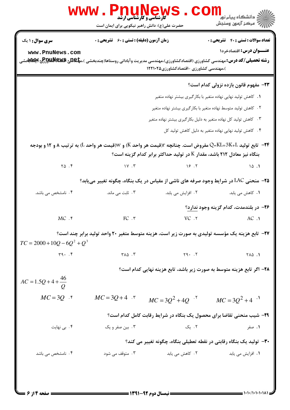| <b>زمان آزمون (دقیقه) : تستی : 60 ٪ تشریحی : 0</b><br>$\gamma \vee \ldots \vee$<br>۰۳ ثابت می ماند.<br>FC.7 | )،مهندسی کشاورزی -اقتصادکشاورزی۱۲۲۱۰۲۵<br>19.7<br>٢. افزايش مي يابد.<br>$VC$ $.7$ | <b>تعداد سوالات : تستی : 40 - تشریحی : 0</b><br>عنـــوان درس: اقتصادخرد۱<br><b>رشته تحصیلی/کد درس:</b> مهندسی کشاورزی (اقتصادکشاورزی)،مهندسی مدیریت وآبادانی روستاها(چندبخشی )،م <b>پلیدی Bیکلهایاو[عجی اپلانابان</b> ت<br>۲۳- مفهوم قانون بازده نزولی کدام است؟<br>۰۱ کاهش تولید نهایی نهاده متغیر با بکارگیری بیشتر نهاده متغیر<br>۲. کاهش تولید متوسط نهاده متغیر با بکارگیری بیشتر نهاده متغیر<br>۰۳ کاهش تولید کل نهاده متغیر به دلیل بکارگیری بیشتر نهاده متغیر<br>۴. کاهش تولید نهایی نهاده متغیر به دلیل کاهش تولید کل<br>۲۴− تابع تولید Q=KL+3K+L مفروض است. چنانچه r(قیمت هر واحد K) و W(قیمت هر واحد L) به ترتیب ۸ و ۱۲ و بودجه<br>بنگاه نیز معادل ۲۱۲ باشد، مقدار K در تولید حداکثر برابر کدام گزینه است؟<br>10.1<br><b>۲۵</b> - منحنی LAC در شرایط وجود صرفه های ناشی از مقیاس در یک بنگاه، چگونه تغییر مییابد؟<br>۰۱ کاهش می یابد.<br>۲۶– در بلندمدت، کدام گزینه وجود ندارد؟<br>AC.1<br>۲۷- تابع هزینه یک مؤسسه تولیدی به صورت زیر است، هزینه متوسط متغیر ۲۰ واحد تولید برابر چند است؟ |
|-------------------------------------------------------------------------------------------------------------|-----------------------------------------------------------------------------------|------------------------------------------------------------------------------------------------------------------------------------------------------------------------------------------------------------------------------------------------------------------------------------------------------------------------------------------------------------------------------------------------------------------------------------------------------------------------------------------------------------------------------------------------------------------------------------------------------------------------------------------------------------------------------------------------------------------------------------------------------------------------------------------------------------------------------------------------------------------------------------------------------------------------------------------------------------------------------------------------------|
|                                                                                                             |                                                                                   |                                                                                                                                                                                                                                                                                                                                                                                                                                                                                                                                                                                                                                                                                                                                                                                                                                                                                                                                                                                                      |
|                                                                                                             |                                                                                   |                                                                                                                                                                                                                                                                                                                                                                                                                                                                                                                                                                                                                                                                                                                                                                                                                                                                                                                                                                                                      |
|                                                                                                             |                                                                                   |                                                                                                                                                                                                                                                                                                                                                                                                                                                                                                                                                                                                                                                                                                                                                                                                                                                                                                                                                                                                      |
|                                                                                                             |                                                                                   |                                                                                                                                                                                                                                                                                                                                                                                                                                                                                                                                                                                                                                                                                                                                                                                                                                                                                                                                                                                                      |
|                                                                                                             |                                                                                   |                                                                                                                                                                                                                                                                                                                                                                                                                                                                                                                                                                                                                                                                                                                                                                                                                                                                                                                                                                                                      |
|                                                                                                             |                                                                                   |                                                                                                                                                                                                                                                                                                                                                                                                                                                                                                                                                                                                                                                                                                                                                                                                                                                                                                                                                                                                      |
|                                                                                                             |                                                                                   |                                                                                                                                                                                                                                                                                                                                                                                                                                                                                                                                                                                                                                                                                                                                                                                                                                                                                                                                                                                                      |
|                                                                                                             |                                                                                   |                                                                                                                                                                                                                                                                                                                                                                                                                                                                                                                                                                                                                                                                                                                                                                                                                                                                                                                                                                                                      |
|                                                                                                             |                                                                                   |                                                                                                                                                                                                                                                                                                                                                                                                                                                                                                                                                                                                                                                                                                                                                                                                                                                                                                                                                                                                      |
|                                                                                                             |                                                                                   |                                                                                                                                                                                                                                                                                                                                                                                                                                                                                                                                                                                                                                                                                                                                                                                                                                                                                                                                                                                                      |
|                                                                                                             |                                                                                   |                                                                                                                                                                                                                                                                                                                                                                                                                                                                                                                                                                                                                                                                                                                                                                                                                                                                                                                                                                                                      |
|                                                                                                             |                                                                                   |                                                                                                                                                                                                                                                                                                                                                                                                                                                                                                                                                                                                                                                                                                                                                                                                                                                                                                                                                                                                      |
|                                                                                                             |                                                                                   |                                                                                                                                                                                                                                                                                                                                                                                                                                                                                                                                                                                                                                                                                                                                                                                                                                                                                                                                                                                                      |
|                                                                                                             |                                                                                   |                                                                                                                                                                                                                                                                                                                                                                                                                                                                                                                                                                                                                                                                                                                                                                                                                                                                                                                                                                                                      |
| $Y \wedge \wedge \cdot Y$                                                                                   | Y9.7                                                                              | 1. 417                                                                                                                                                                                                                                                                                                                                                                                                                                                                                                                                                                                                                                                                                                                                                                                                                                                                                                                                                                                               |
|                                                                                                             |                                                                                   | ۲۸– اگر تابع هزینه متوسط به صورت زیر باشد، تابع هزینه نهایی کدام است؟                                                                                                                                                                                                                                                                                                                                                                                                                                                                                                                                                                                                                                                                                                                                                                                                                                                                                                                                |
|                                                                                                             |                                                                                   |                                                                                                                                                                                                                                                                                                                                                                                                                                                                                                                                                                                                                                                                                                                                                                                                                                                                                                                                                                                                      |
| $MC = 3Q + 4$ .                                                                                             |                                                                                   | $MC = 3Q^2 + 4$                                                                                                                                                                                                                                                                                                                                                                                                                                                                                                                                                                                                                                                                                                                                                                                                                                                                                                                                                                                      |
|                                                                                                             |                                                                                   |                                                                                                                                                                                                                                                                                                                                                                                                                                                                                                                                                                                                                                                                                                                                                                                                                                                                                                                                                                                                      |
| ۰۳ بین صفر و یک                                                                                             | ۰۲ یک                                                                             | ۰۱ صفر                                                                                                                                                                                                                                                                                                                                                                                                                                                                                                                                                                                                                                                                                                                                                                                                                                                                                                                                                                                               |
|                                                                                                             |                                                                                   |                                                                                                                                                                                                                                                                                                                                                                                                                                                                                                                                                                                                                                                                                                                                                                                                                                                                                                                                                                                                      |
| ۰۳ متوقف می شود .                                                                                           | ۲. کاهش می یابد                                                                   | 1. افزايش مي يابد                                                                                                                                                                                                                                                                                                                                                                                                                                                                                                                                                                                                                                                                                                                                                                                                                                                                                                                                                                                    |
|                                                                                                             |                                                                                   | $MC = 3Q^2 + 4Q^{-1}$<br><b>۲۹</b> - شیب منحنی تقاضا برای محصول یک بنگاه در شرایط رقابت کامل کدام است؟<br>۳۰– تولید یک بنگاه رقابتی در نقطه تعطیلی بنگاه، چگونه تغییر می کند؟                                                                                                                                                                                                                                                                                                                                                                                                                                                                                                                                                                                                                                                                                                                                                                                                                        |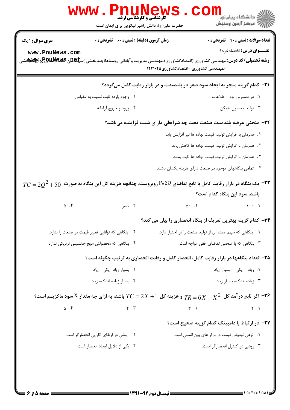|                                                                                                                                                 | <b>گارشناسی و کارشناسی ارشد</b>                    |                                                                                        |  |
|-------------------------------------------------------------------------------------------------------------------------------------------------|----------------------------------------------------|----------------------------------------------------------------------------------------|--|
|                                                                                                                                                 | حضرت علی(ع): دانش راهبر نیکویی برای ایمان است      | ر دانشڪاه پيام نور <mark>−</mark><br>ا∛ مرکز آزمون وسنجش                               |  |
| <b>سری سوال : ۱ یک</b>                                                                                                                          | <b>زمان آزمون (دقیقه) : تستی : 60 ٪ تشریحی : 0</b> | <b>تعداد سوالات : تستي : 40 - تشريحي : 0</b>                                           |  |
| www.PnuNews.com                                                                                                                                 |                                                    | عنــوان درس: اقتصادخرد١                                                                |  |
| <b>رشته تحصیلی/کد درس:</b> مهندسی کشاورزی (اقتصادکشاورزی)،مهندسی مدیریت وآبادانی روستاها(چندبخشی )،م <b>پلیلیا پیلی پالیلاپاوی پاپلاتاپوت</b> ی |                                                    | )،مهندسی کشاورزی -اقتصادکشاورزی1۲۲۱۰۲۵                                                 |  |
|                                                                                                                                                 |                                                    | ۳۱– کدام گزینه منجر به ایجاد سود صفر در بلندمدت و در بازار رقابت کامل میگردد؟          |  |
| ۲. وجود بازده ثابت نسبت به مقياس                                                                                                                |                                                    | ۰۱ در دسترس بودن اطلاعات                                                               |  |
| ۰۴ ورود و خروج آزادانه                                                                                                                          |                                                    | ۰۳ تولید محصول همگن                                                                    |  |
| 32- منحنی عرضه بلندمدت صنعت تحت چه شرایطی دارای شیب فزاینده میباشد؟                                                                             |                                                    |                                                                                        |  |
|                                                                                                                                                 |                                                    | ٠. همزمان با افزايش توليد، قيمت نهاده ها نيز افزايش يابد                               |  |
|                                                                                                                                                 |                                                    | ۲ .   همزمان با افزایش تولید، قیمت نهاده ها کاهش یابد                                  |  |
|                                                                                                                                                 |                                                    | ۰۳ همزمان با افزایش تولید، قیمت نهاده ها ثابت بماند                                    |  |
|                                                                                                                                                 |                                                    | ۰۴ تمامی بنگاههای موجود در صنعت دارای هزینه یکسان باشند                                |  |
| $TC$ یک بنگاه در بازار رقابت کامل با تابع تقاضای P=20 روبروست. چنانچه هزینه کل این بنگاه به صورت $-$ 50 $2^2+50$                                |                                                    |                                                                                        |  |
|                                                                                                                                                 |                                                    | باشد، سود این بنگاه کدام است؟                                                          |  |
| $\Delta$ . $\mathbf f$                                                                                                                          | ۰۳ صفر                                             | $\Delta$ . T<br>$1 \cdot \cdot$ .1                                                     |  |
|                                                                                                                                                 |                                                    | ۳۴- کدام گزینه بهترین تعریف از بنگاه انحصاری را بیان می کند؟                           |  |
| ۰۲ بنگاهی که توانایی تغییر قیمت در صنعت را ندارد.                                                                                               |                                                    | ۰۱ بنگاهی که سهم عمده ای از تولید صنعت را در اختیار دارد.                              |  |
| ۴. بنگاهی که محصولش هیچ جانشینی نزدیکی ندارد.                                                                                                   |                                                    | ۰۳ بنگاهی که با منحنی تقاضای افقی مواجه است.                                           |  |
|                                                                                                                                                 |                                                    | ۳۵- تعداد بنگاهها در بازار رقابت کامل، انحصار کامل و رقابت انحصاری به ترتیب چگونه است؟ |  |
| ۰۲ بسیار زیاد- یکی- زیاد                                                                                                                        |                                                    | ۰۱ زیاد – یکی – بسیار زیاد                                                             |  |
| ۰۴ بسیار زیاد-اندک- زیاد                                                                                                                        |                                                    | ۰۳ زیاد-اندک-بسیار زیاد                                                                |  |
| اگر تابع در آمد کل $X^2$ $X^2 = 7R - 6$ و هزینه کل $1+T$ $C = 2X + 1$ باشد، به ازای چه مقدار $X$ سود ماکزیمم است؟ $\bullet$                     |                                                    |                                                                                        |  |
| $\Delta$ . ۴                                                                                                                                    | $\mathfrak{r}$ . $\mathfrak{r}$                    | $\mathbf{r}$ . $\mathbf{r}$<br>Y.1                                                     |  |
|                                                                                                                                                 |                                                    | ۳۷– در ارتباط با دامپینگ کدام گزینه صحیح است؟                                          |  |
| ٢. روشي در ارتقاى كارايي انحصار گر است.                                                                                                         |                                                    | ٠١. نوعي تبعيض قيمت در بازار هاي بين المللي است.                                       |  |
| ۰۴ یکی از دلایل ایجاد انحصار است.                                                                                                               |                                                    | ۰۳ روشی در کنترل انحصارگر است.                                                         |  |
|                                                                                                                                                 |                                                    |                                                                                        |  |